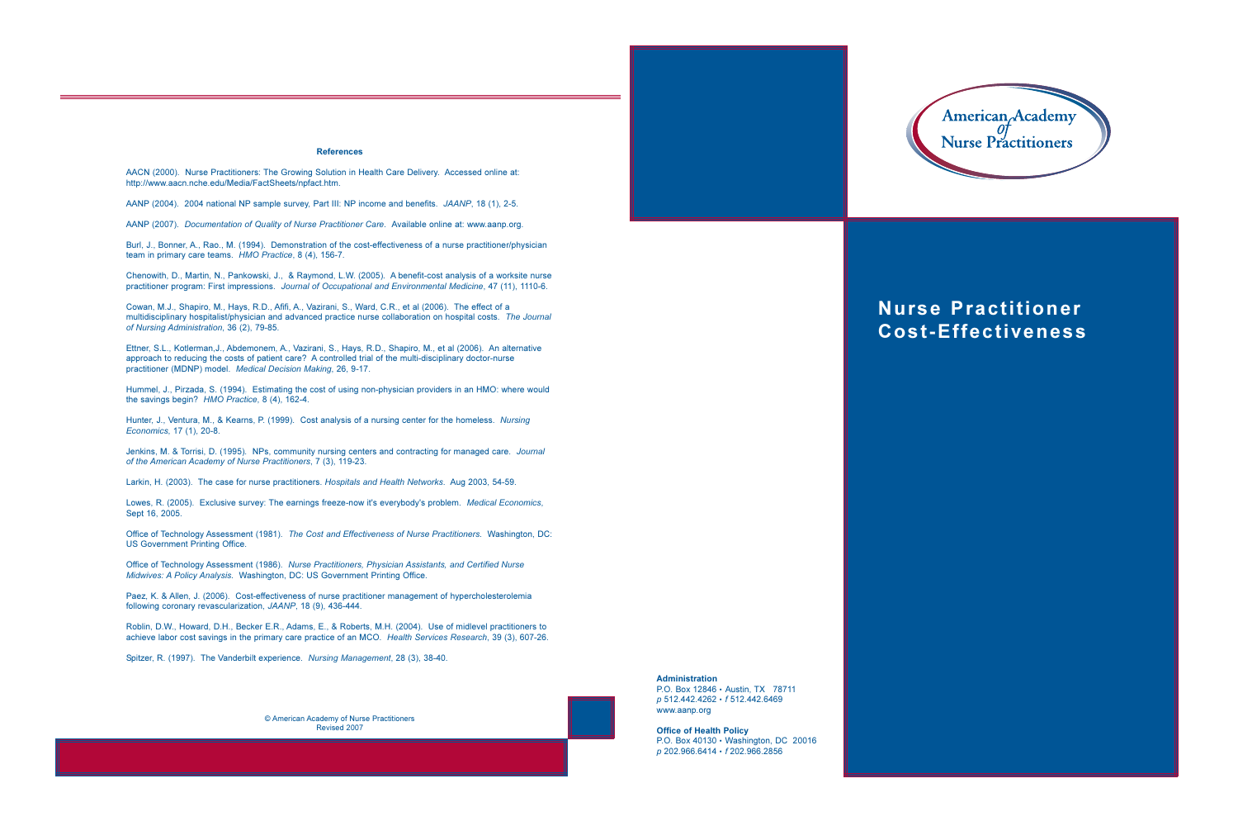## **References**

AACN (2000). Nurse Practitioners: The Growing Solution in Health Care Delivery. Accessed online at: http://www.aacn.nche.edu/Media/FactSheets/npfact.htm.

AANP (2004). 2004 national NP sample survey, Part III: NP income and benefits. JAANP, 18 (1), 2-5.

AANP (2007). Documentation of Quality of Nurse Practitioner Care. Available online at: www.aanp.org.

Burl, J., Bonner, A., Rao., M. (1994). Demonstration of the cost-effectiveness of a nurse practitioner/physician team in primary care teams. HMO Practice, 8 (4), 156-7.

Chenowith, D., Martin, N., Pankowski, J., & Raymond, L.W. (2005). A benefit-cost analysis of a worksite nurse practitioner program: First impressions. Journal of Occupational and Environmental Medicine, 47 (11), 1110-6.

Cowan, M.J., Shapiro, M., Hays, R.D., Afifi, A., Vazirani, S., Ward, C.R., et al (2006). The effect of a multidisciplinary hospitalist/physician and advanced practice nurse collaboration on hospital costs. The Journal of Nursing Administration, 36 (2), 79-85.

Ettner, S.L., Kotlerman, J., Abdemonem, A., Vazirani, S., Hays, R.D., Shapiro, M., et al (2006). An alternative approach to reducing the costs of patient care? A controlled trial of the multi-disciplinary doctor-nurse practitioner (MDNP) model. Medical Decision Making, 26, 9-17.

Hummel, J., Pirzada, S. (1994). Estimating the cost of using non-physician providers in an HMO: where would the savings begin? HMO Practice, 8 (4), 162-4.

Hunter, J., Ventura, M., & Kearns, P. (1999). Cost analysis of a nursing center for the homeless. Nursing Economics, 17 (1), 20-8.

Jenkins, M. & Torrisi, D. (1995). NPs, community nursing centers and contracting for managed care. Journal of the American Academy of Nurse Practitioners, 7 (3), 119-23.

Larkin, H. (2003). The case for nurse practitioners. Hospitals and Health Networks. Aug 2003, 54-59.

Lowes, R. (2005). Exclusive survey: The earnings freeze-now it's everybody's problem. Medical Economics, Sept 16, 2005.

Office of Technology Assessment (1981). The Cost and Effectiveness of Nurse Practitioners. Washington, DC: **US Government Printing Office.** 

Office of Technology Assessment (1986). Nurse Practitioners. Physician Assistants, and Certified Nurse Midwives: A Policy Analysis. Washington, DC: US Government Printing Office.

Paez, K. & Allen, J. (2006). Cost-effectiveness of nurse practitioner management of hypercholesterolemia following coronary revascularization, JAANP, 18 (9), 436-444.

Roblin, D.W., Howard, D.H., Becker E.R., Adams, E., & Roberts, M.H. (2004). Use of midlevel practitioners to achieve labor cost savings in the primary care practice of an MCO. Health Services Research, 39 (3), 607-26.

Spitzer, R. (1997). The Vanderbilt experience. Nursing Management, 28 (3), 38-40.

© American Academy of Nurse Practitioners Revised 2007

**Administration** P.O. Box 12846 · Austin, TX 78711 p 512.442.4262 · f 512.442.6469

www.aanp.org

**Office of Health Policy** P.O. Box 40130 · Washington, DC 20016 p 202.966.6414 · f 202.966.2856



## **Nurse Practitioner Cost-Effectiveness**